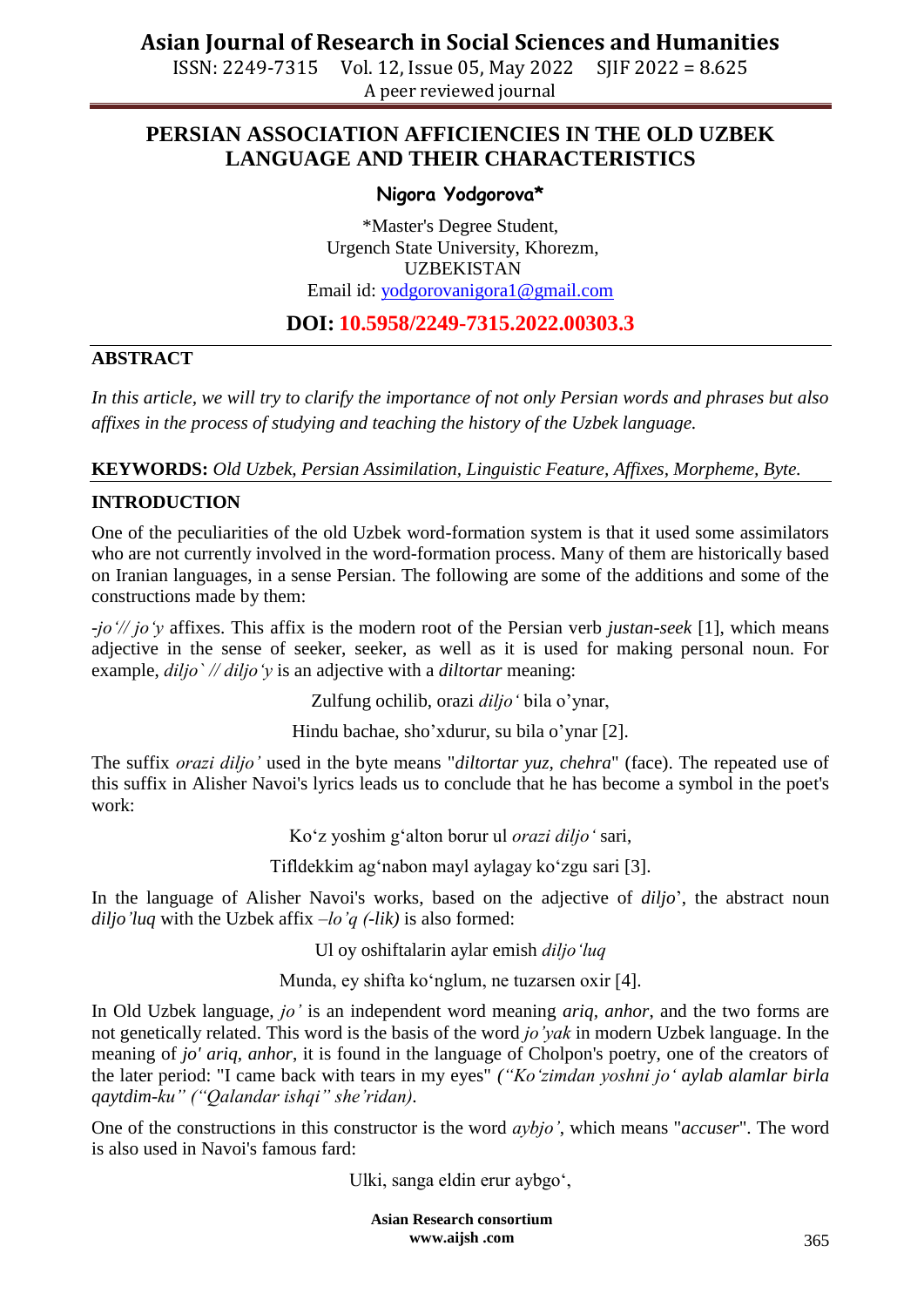ISSN: 2249-7315 Vol. 12, Issue 05, May 2022 SJIF 2022 = 8.625 A peer reviewed journal

## **PERSIAN ASSOCIATION AFFICIENCIES IN THE OLD UZBEK LANGUAGE AND THEIR CHARACTERISTICS**

#### **Nigora Yodgorova\***

\*Master's Degree Student, Urgench State University, Khorezm, UZBEKISTAN Email id: [yodgorovanigora1@gmail.com](mailto:yodgorovanigora1@gmail.com)

### **DOI: 10.5958/2249-7315.2022.00303.3**

#### **ABSTRACT**

*In this article, we will try to clarify the importance of not only Persian words and phrases but also affixes in the process of studying and teaching the history of the Uzbek language.*

**KEYWORDS:** *Old Uzbek, Persian Assimilation, Linguistic Feature, Affixes, Morpheme, Byte.*

#### **INTRODUCTION**

One of the peculiarities of the old Uzbek word-formation system is that it used some assimilators who are not currently involved in the word-formation process. Many of them are historically based on Iranian languages, in a sense Persian. The following are some of the additions and some of the constructions made by them:

*-joʻ// joʻy* affixes. This affix is the modern root of the Persian verb *justan-seek* [1], which means adjective in the sense of seeker, seeker, as well as it is used for making personal noun. For example, *diljo` // diljoʻy* is an adjective with a *diltortar* meaning:

Zulfung ochilib, orazi *diljoʻ* bila o'ynar,

Hindu bachae, sho'xdurur, su bila o'ynar [2].

The suffix *orazi diljo'* used in the byte means "*diltortar yuz, chehra*" (face). The repeated use of this suffix in Alisher Navoi's lyrics leads us to conclude that he has become a symbol in the poet's work:

Koʻz yoshim gʻalton borur ul *orazi diljoʻ* sari,

Tifldekkim agʻnabon mayl aylagay koʻzgu sari [3].

In the language of Alisher Navoi's works, based on the adjective of *diljo*', the abstract noun *diljo'luq* with the Uzbek affix –*lo'q (-lik)* is also formed:

Ul oy oshiftalarin aylar emish *diljoʻluq*

Munda, ey shifta koʻnglum, ne tuzarsen oxir [4].

In Old Uzbek language, *jo'* is an independent word meaning *ariq, anhor*, and the two forms are not genetically related. This word is the basis of the word *jo'yak* in modern Uzbek language. In the meaning of *jo' ariq, anhor*, it is found in the language of Cholpon's poetry, one of the creators of the later period: "I came back with tears in my eyes" *("Koʻzimdan yoshni joʻ aylab alamlar birla qaytdim-ku" ("Qalandar ishqi" she'ridan).*

One of the constructions in this constructor is the word *aybjo'*, which means "*accuser*". The word is also used in Navoi's famous fard:

Ulki, sanga eldin erur aybgoʻ,

**Asian Research consortium www.aijsh .com**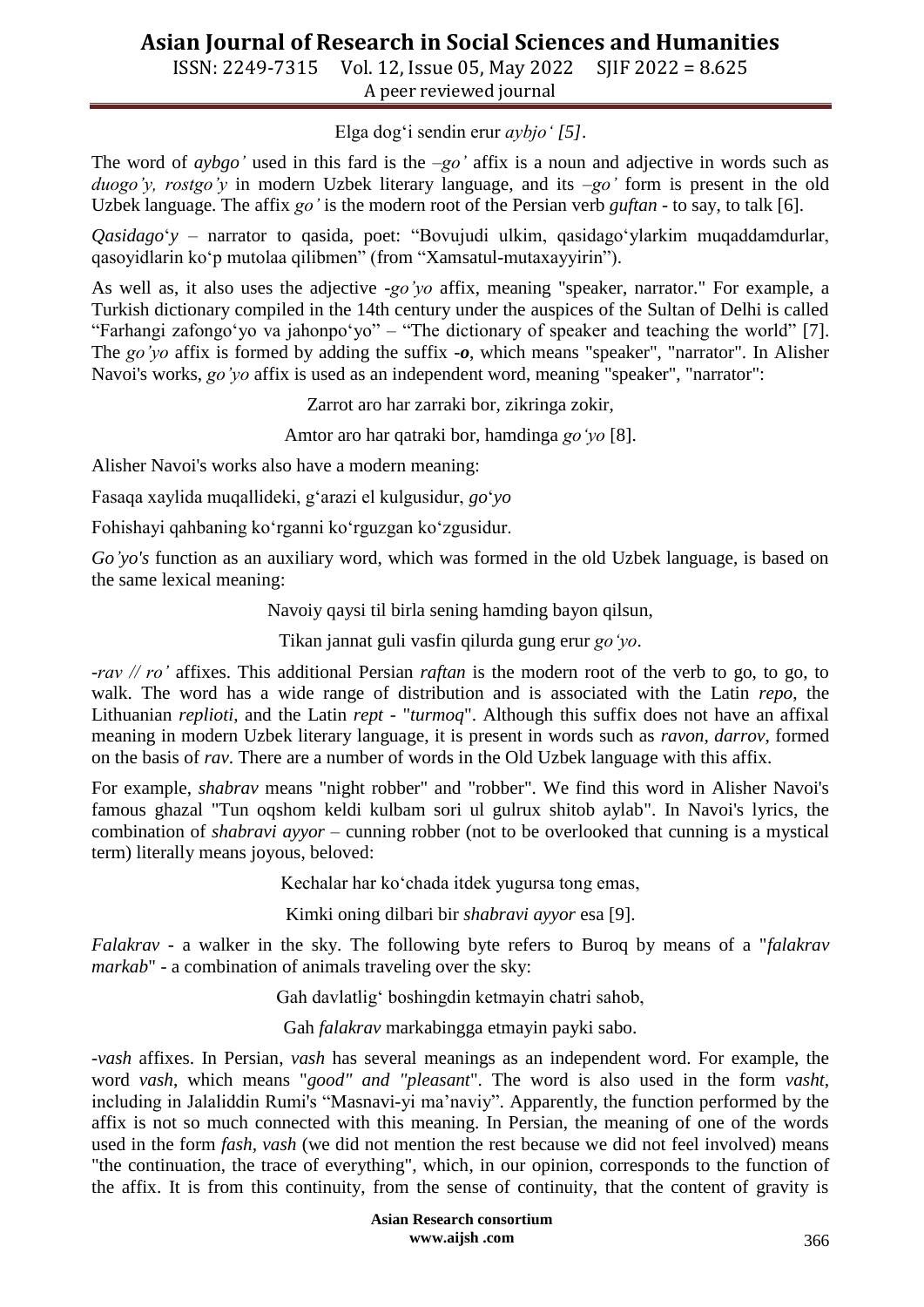ISSN: 2249-7315 Vol. 12, Issue 05, May 2022 SJIF 2022 = 8.625 A peer reviewed journal

Elga dogʻi sendin erur *aybjoʻ [5]*.

The word of *aybgo'* used in this fard is the –*go'* affix is a noun and adjective in words such as *duogo'y, rostgo'y* in modern Uzbek literary language, and its –*go'* form is present in the old Uzbek language. The affix *go'* is the modern root of the Persian verb *guftan* - to say, to talk [6].

*Qasidago*ʻ*y* – narrator to qasida, poet: "Bovujudi ulkim, qasidagoʻylarkim muqaddamdurlar, qasoyidlarin koʻp mutolaa qilibmen" (from "Xamsatul-mutaxayyirin").

As well as, it also uses the adjective -*go'yo* affix, meaning "speaker, narrator." For example, a Turkish dictionary compiled in the 14th century under the auspices of the Sultan of Delhi is called "Farhangi zafongoʻyo va jahonpoʻyo" – "The dictionary of speaker and teaching the world" [7]. The *go'yo* affix is formed by adding the suffix -*o*, which means "speaker", "narrator". In Alisher Navoi's works, *go'yo* affix is used as an independent word, meaning "speaker", "narrator":

Zarrot aro har zarraki bor, zikringa zokir,

Amtor aro har qatraki bor, hamdinga *goʻyo* [8].

Alisher Navoi's works also have a modern meaning:

Fasaqa xaylida muqallideki, gʻarazi el kulgusidur, *go*ʻ*yo*

Fohishayi qahbaning koʻrganni koʻrguzgan koʻzgusidur.

*Go'yo's* function as an auxiliary word, which was formed in the old Uzbek language, is based on the same lexical meaning:

Navoiy qaysi til birla sening hamding bayon qilsun,

Tikan jannat guli vasfin qilurda gung erur *goʻyo*.

*-rav // ro'* affixes. This additional Persian *raftan* is the modern root of the verb to go, to go, to walk. The word has a wide range of distribution and is associated with the Latin *repo*, the Lithuanian *replioti*, and the Latin *rept* - "*turmoq*". Although this suffix does not have an affixal meaning in modern Uzbek literary language, it is present in words such as *ravon, darrov*, formed on the basis of *rav*. There are a number of words in the Old Uzbek language with this affix.

For example, *shabrav* means "night robber" and "robber". We find this word in Alisher Navoi's famous ghazal "Tun oqshom keldi kulbam sori ul gulrux shitob aylab". In Navoi's lyrics, the combination of *shabravi ayyor* – cunning robber (not to be overlooked that cunning is a mystical term) literally means joyous, beloved:

Kechalar har koʻchada itdek yugursa tong emas,

Kimki oning dilbari bir *shabravi ayyor* esa [9].

*Falakrav* - a walker in the sky. The following byte refers to Buroq by means of a "*falakrav markab*" - a combination of animals traveling over the sky:

Gah davlatligʻ boshingdin ketmayin chatri sahob,

Gah *falakrav* markabingga etmayin payki sabo.

*-vash* affixes. In Persian, *vash* has several meanings as an independent word. For example, the word *vash*, which means "*good" and "pleasant*". The word is also used in the form *vasht*, including in Jalaliddin Rumi's "Masnavi-yi ma'naviy". Apparently, the function performed by the affix is not so much connected with this meaning. In Persian, the meaning of one of the words used in the form *fash, vash* (we did not mention the rest because we did not feel involved) means "the continuation, the trace of everything", which, in our opinion, corresponds to the function of the affix. It is from this continuity, from the sense of continuity, that the content of gravity is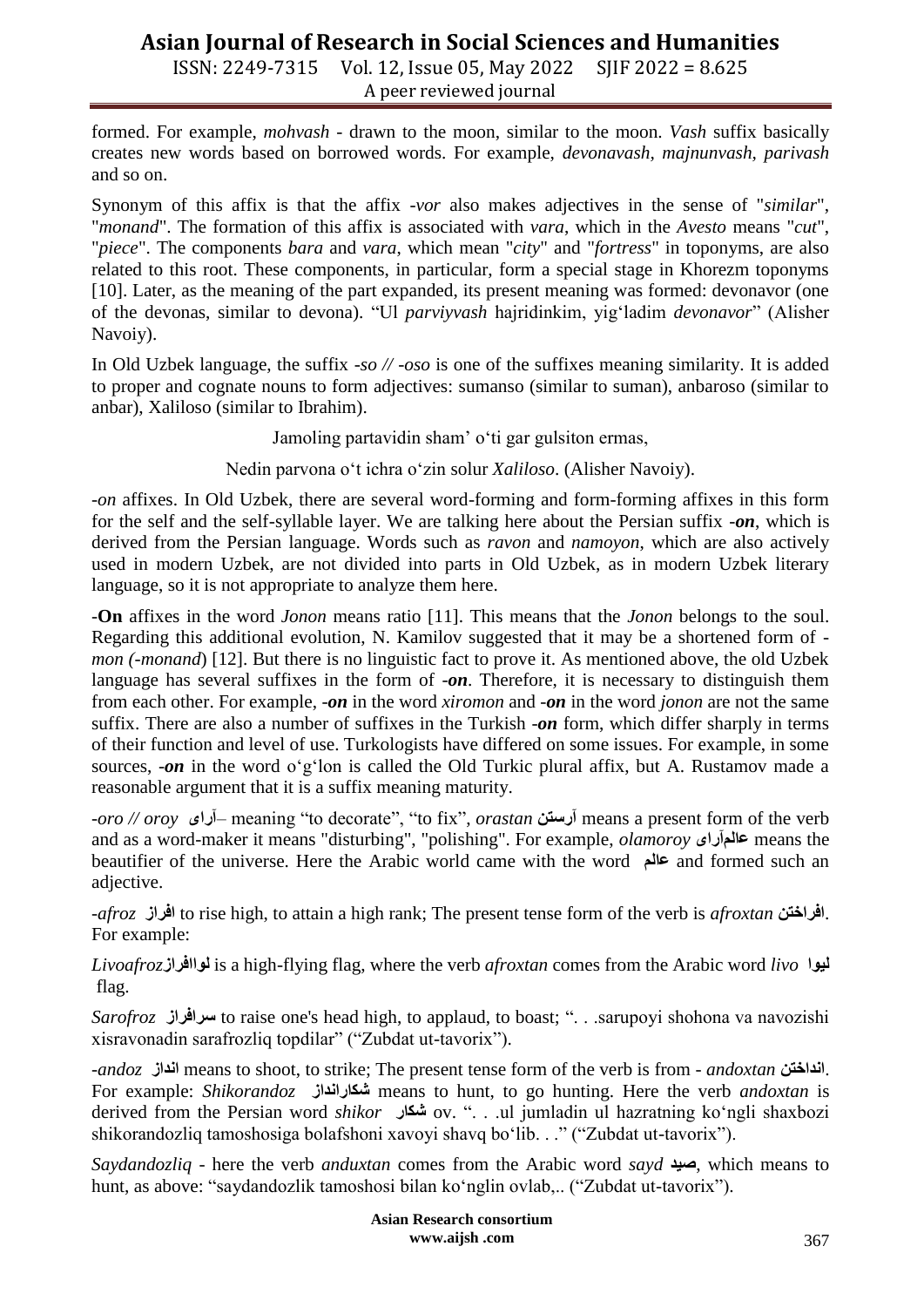ISSN: 2249-7315 Vol. 12, Issue 05, May 2022 SJIF 2022 = 8.625 A peer reviewed journal

formed. For example, *mohvash* - drawn to the moon, similar to the moon. *Vash* suffix basically creates new words based on borrowed words. For example, *devonavash, majnunvash, parivash* and so on.

Synonym of this affix is that the affix -*vor* also makes adjectives in the sense of "*similar*", "*monand*". The formation of this affix is associated with *vara*, which in the *Avesto* means "*cut*", "*piece*". The components *bara* and *vara*, which mean "*city*" and "*fortress*" in toponyms, are also related to this root. These components, in particular, form a special stage in Khorezm toponyms [10]. Later, as the meaning of the part expanded, its present meaning was formed: devonavor (one of the devonas, similar to devona). "Ul *parviyvash* hajridinkim, yigʻladim *devonavor*" (Alisher Navoiy).

In Old Uzbek language, the suffix -*so // -oso* is one of the suffixes meaning similarity. It is added to proper and cognate nouns to form adjectives: sumanso (similar to suman), anbaroso (similar to anbar), Xaliloso (similar to Ibrahim).

Jamoling partavidin sham' oʻti gar gulsiton ermas,

Nedin parvona oʻt ichra oʻzin solur *Xaliloso*. (Alisher Navoiy).

*-on* affixes. In Old Uzbek, there are several word-forming and form-forming affixes in this form for the self and the self-syllable layer. We are talking here about the Persian suffix -*on*, which is derived from the Persian language. Words such as *ravon* and *namoyon*, which are also actively used in modern Uzbek, are not divided into parts in Old Uzbek, as in modern Uzbek literary language, so it is not appropriate to analyze them here.

-**On** affixes in the word *Jonon* means ratio [11]. This means that the *Jonon* belongs to the soul. Regarding this additional evolution, N. Kamilov suggested that it may be a shortened form of *mon (-monand*) [12]. But there is no linguistic fact to prove it. As mentioned above, the old Uzbek language has several suffixes in the form of -*on*. Therefore, it is necessary to distinguish them from each other. For example, -*on* in the word *xiromon* and -*on* in the word *jonon* are not the same suffix. There are also a number of suffixes in the Turkish -*on* form, which differ sharply in terms of their function and level of use. Turkologists have differed on some issues. For example, in some sources, -*on* in the word oʻgʻlon is called the Old Turkic plural affix, but A. Rustamov made a reasonable argument that it is a suffix meaning maturity.

*-oro // oroy* **آراى** –meaning "to decorate", "to fix", *orastan* **آرستن** means a present form of the verb and as a word-maker it means "disturbing", "polishing". For example, *olamoroy* **عالمآراى** means the beautifier of the universe. Here the Arabic world came with the word **عالم** and formed such an adjective.

*-afroz* **افراز** to rise high, to attain a high rank; The present tense form of the verb is *afroxtan* **افراختن**. For example:

*Livoafroz***لواافراز** is a high-flying flag, where the verb *afroxtan* comes from the Arabic word *livo* **ليوا** flag.

*Sarofroz* **سرافراز** to raise one's head high, to applaud, to boast; ". . .sarupoyi shohona va navozishi xisravonadin sarafrozliq topdilar" ("Zubdat ut-tavorix").

*-andoz* **انداز** means to shoot, to strike; The present tense form of the verb is from - *andoxtan* **انداختن**. For example: *Shikorandoz* **شكارانداز** means to hunt, to go hunting. Here the verb *andoxtan* is derived from the Persian word *shikor* **شكار** ov. ". . .ul jumladin ul hazratning koʻngli shaxbozi shikorandozliq tamoshosiga bolafshoni xavoyi shavq boʻlib. . ." ("Zubdat ut-tavorix").

*Saydandozliq -* here the verb *anduxtan* comes from the Arabic word *sayd* **صيد**, which means to hunt, as above: "saydandozlik tamoshosi bilan koʻnglin ovlab,.. ("Zubdat ut-tavorix").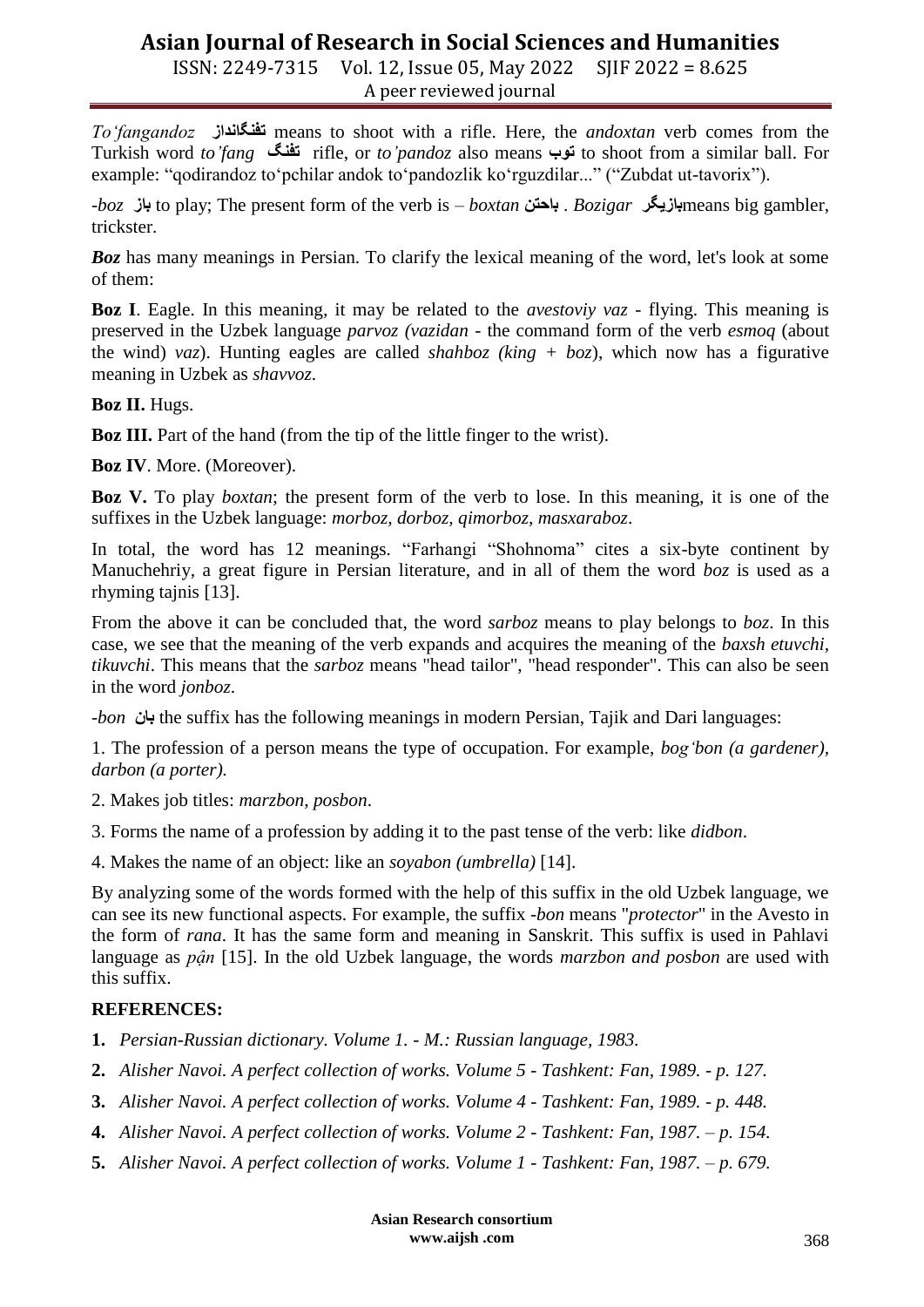ISSN: 2249-7315 Vol. 12, Issue 05, May 2022 SJIF 2022 = 8.625 A peer reviewed journal

*Toʻfangandoz* **تفنگانداز** means to shoot with a rifle. Here, the *andoxtan* verb comes from the Turkish word *to'fang* **تفنگ** rifle, or *to'pandoz* also means **توب** to shoot from a similar ball. For example: "qodirandoz toʻpchilar andok toʻpandozlik koʻrguzdilar..." ("Zubdat ut-tavorix").

*-boz* **باز** to play; The present form of the verb is – *boxtan* **باحتن** . *Bozigar* **بازيگر**means big gambler, trickster.

*Boz* has many meanings in Persian. To clarify the lexical meaning of the word, let's look at some of them:

**Boz I**. Eagle. In this meaning, it may be related to the *avestoviy vaz* - flying. This meaning is preserved in the Uzbek language *parvoz (vazidan* - the command form of the verb *esmoq* (about the wind) *vaz*). Hunting eagles are called *shahboz (king + boz*), which now has a figurative meaning in Uzbek as *shavvoz*.

**Boz II.** Hugs.

**Boz III.** Part of the hand (from the tip of the little finger to the wrist).

**Boz IV**. More. (Moreover).

**Boz V.** To play *boxtan*; the present form of the verb to lose. In this meaning, it is one of the suffixes in the Uzbek language: *morboz, dorboz, qimorboz, masxaraboz*.

In total, the word has 12 meanings. "Farhangi "Shohnoma" cites a six-byte continent by Manuchehriy, a great figure in Persian literature, and in all of them the word *boz* is used as a rhyming tajnis [13].

From the above it can be concluded that, the word *sarboz* means to play belongs to *boz*. In this case, we see that the meaning of the verb expands and acquires the meaning of the *baxsh etuvchi, tikuvchi*. This means that the *sarboz* means "head tailor", "head responder". This can also be seen in the word *jonboz*.

*-bon* **بان** the suffix has the following meanings in modern Persian, Tajik and Dari languages:

1. The profession of a person means the type of occupation. For example, *bogʻbon (a gardener), darbon (a porter).*

2. Makes job titles: *marzbon, posbon*.

3. Forms the name of a profession by adding it to the past tense of the verb: like *didbon*.

4. Makes the name of an object: like an *soyabon (umbrella)* [14].

By analyzing some of the words formed with the help of this suffix in the old Uzbek language, we can see its new functional aspects. For example, the suffix -*bon* means "*protector*" in the Avesto in the form of *rana*. It has the same form and meaning in Sanskrit. This suffix is used in Pahlavi language as *pận* [15]. In the old Uzbek language, the words *marzbon and posbon* are used with this suffix.

### **REFERENCES:**

- **1.** *Persian-Russian dictionary. Volume 1. - M.: Russian language, 1983.*
- **2.** *Alisher Navoi. A perfect collection of works. Volume 5 - Tashkent: Fan, 1989. - p. 127.*
- **3.** *Alisher Navoi. A perfect collection of works. Volume 4 - Tashkent: Fan, 1989. - p. 448.*
- **4.** *Alisher Navoi. A perfect collection of works. Volume 2 - Tashkent: Fan, 1987. – p. 154.*
- **5.** *Alisher Navoi. A perfect collection of works. Volume 1 - Tashkent: Fan, 1987. – p. 679.*